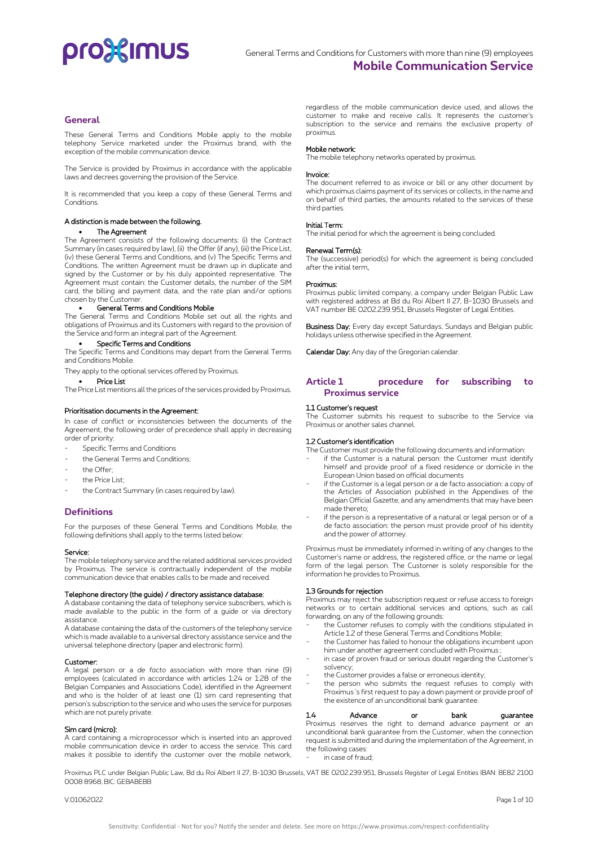# pro3<sup>2</sup> mus

# **General**

These General Terms and Conditions Mobile apply to the mobile telephony Service marketed under the Proximus brand, with the exception of the mobile communication device.

The Service is provided by Proximus in accordance with the applicable laws and decrees governing the provision of the Service.

It is recommended that you keep a copy of these General Terms and Conditions.

### A distinction is made between the following.

### • The Agreement

The Agreement consists of the following documents: (i) the Contract Summary (in cases required by law), (ii) the Offer (if any), (iii) the Price List, (iv) these General Terms and Conditions, and (v) The Specific Terms and Conditions. The written Agreement must be drawn up in duplicate and signed by the Customer or by his duly appointed representative. The Agreement must contain: the Customer details, the number of the SIM card, the billing and payment data, and the rate plan and/or options chosen by the Customer.

## • General Terms and Conditions Mobile

The General Terms and Conditions Mobile set out all the rights and obligations of Proximus and its Customers with regard to the provision of the Service and form an integral part of the Agreement.

## • Specific Terms and Conditions

The Specific Terms and Conditions may depart from the General Terms and Conditions Mobile.

They apply to the optional services offered by Proximus.

## Price List

The Price List mentions all the prices of the services provided by Proximus.

### Prioritisation documents in the Agreement:

In case of conflict or inconsistencies between the documents of the Agreement, the following order of precedence shall apply in decreasing order of priority:

- Specific Terms and Conditions
- the General Terms and Conditions;
- the Offer<sup>-</sup>
- the Price List<sup>-</sup>
- the Contract Summary (in cases required by law).

# **Definitions**

For the purposes of these General Terms and Conditions Mobile, the following definitions shall apply to the terms listed below:

#### Service:

The mobile telephony service and the related additional services provided by Proximus. The service is contractually independent of the mobile communication device that enables calls to be made and received.

### Telephone directory (the guide) / directory assistance database:

A database containing the data of telephony service subscribers, which is made available to the public in the form of a guide or via directory assistance.

A database containing the data of the customers of the telephony service which is made available to a universal directory assistance service and the universal telephone directory (paper and electronic form).

#### Customer:

A legal person or a *de facto* association with more than nine (9) employees (calculated in accordance with articles 1:24 or 1:28 of the Belgian Companies and Associations Code), identified in the Agreement and who is the holder of at least one (1) sim card representing that person's subscription to the service and who uses the service for purposes which are not purely private.

## Sim card (micro):

A card containing a microprocessor which is inserted into an approved mobile communication device in order to access the service. This card makes it possible to identify the customer over the mobile network, regardless of the mobile communication device used, and allows the customer to make and receive calls. It represents the customer's subscription to the service and remains the exclusive property of proximus.

## Mobile network:

The mobile telephony networks operated by proximus.

### Invoice:

The document referred to as invoice or bill or any other document by which proximus claims payment of its services or collects, in the name and on behalf of third parties, the amounts related to the services of these third parties.

## Initial Term:

The initial period for which the agreement is being concluded.

### Renewal Term(s):

The (successive) period(s) for which the agreement is being concluded after the initial term.

#### Proximus:

Proximus public limited company, a company under Belgian Public Law with registered address at Bd du Roi Albert II 27, B-1030 Brussels and VAT number BE 0202.239.951, Brussels Register of Legal Entities.

Business Day: Every day except Saturdays, Sundays and Belgian public holidays unless otherwise specified in the Agreement.

Calendar Day: Any day of the Gregorian calendar.

# **Article 1 procedure for subscribing to Proximus service**

### 1.1 Customer's request

The Customer submits his request to subscribe to the Service via Proximus or another sales channel.

#### 1.2 Customer's identification

The Customer must provide the following documents and information:

- if the Customer is a natural person: the Customer must identify himself and provide proof of a fixed residence or domicile in the European Union based on official documents
- if the Customer is a legal person or a de facto association: a copy of the Articles of Association published in the Appendixes of the Belgian Official Gazette, and any amendments that may have been made thereto;
- if the person is a representative of a natural or legal person or of a de facto association: the person must provide proof of his identity and the power of attorney.

Proximus must be immediately informed in writing of any changes to the Customer's name or address, the registered office, or the name or legal form of the legal person. The Customer is solely responsible for the information he provides to Proximus.

### 1.3 Grounds for rejection

Proximus may reject the subscription request or refuse access to foreign networks or to certain additional services and options, such as call forwarding, on any of the following grounds:

- the Customer refuses to comply with the conditions stipulated in Article 1.2 of these General Terms and Conditions Mobile;
- the Customer has failed to honour the obligations incumbent upon him under another agreement concluded with Proximus ;
- in case of proven fraud or serious doubt regarding the Customer's solvency;
- the Customer provides a false or erroneous identity;
- the person who submits the request refuses to comply with Proximus 's first request to pay a down payment or provide proof of the existence of an unconditional bank guarantee.

1.4 Advance or bank guarantee Proximus reserves the right to demand advance payment or an unconditional bank guarantee from the Customer, when the connection request is submitted and during the implementation of the Agreement, in the following cases: in case of fraud;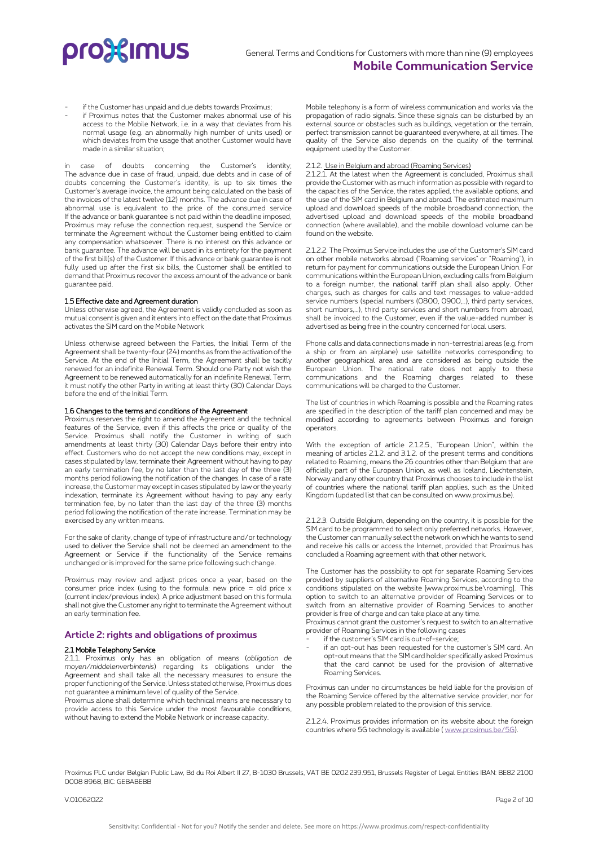

- if the Customer has unpaid and due debts towards Proximus;
- if Proximus notes that the Customer makes abnormal use of his access to the Mobile Network, i.e. in a way that deviates from his normal usage (e.g. an abnormally high number of units used) or which deviates from the usage that another Customer would have made in a similar situation;

in case of doubts concerning the Customer's identity; The advance due in case of fraud, unpaid, due debts and in case of of doubts concerning the Customer's identity, is up to six times the Customer's average invoice, the amount being calculated on the basis of the invoices of the latest twelve (12) months. The advance due in case of abnormal use is equivalent to the price of the consumed service If the advance or bank guarantee is not paid within the deadline imposed, Proximus may refuse the connection request, suspend the Service or terminate the Agreement without the Customer being entitled to claim any compensation whatsoever. There is no interest on this advance or bank guarantee. The advance will be used in its entirety for the payment of the first bill(s) of the Customer. If this advance or bank guarantee is not fully used up after the first six bills, the Customer shall be entitled to demand that Proximus recover the excess amount of the advance or bank guarantee paid.

### 1.5 Effective date and Agreement duration

Unless otherwise agreed, the Agreement is validly concluded as soon as mutual consent is given and it enters into effect on the date that Proximus activates the SIM card on the Mobile Network

Unless otherwise agreed between the Parties, the Initial Term of the Agreement shall be twenty-four (24) months as from the activation of the Service. At the end of the Initial Term, the Agreement shall be tacitly renewed for an indefinite Renewal Term. Should one Party not wish the Agreement to be renewed automatically for an indefinite Renewal Term, it must notify the other Party in writing at least thirty (30) Calendar Days before the end of the Initial Term.

### 1.6 Changes to the terms and conditions of the Agreement

Proximus reserves the right to amend the Agreement and the technical features of the Service, even if this affects the price or quality of the Service. Proximus shall notify the Customer in writing of such amendments at least thirty (30) Calendar Days before their entry into effect. Customers who do not accept the new conditions may, except in cases stipulated by law, terminate their Agreement without having to pay an early termination fee, by no later than the last day of the three (3) months period following the notification of the changes. In case of a rate increase, the Customer may except in cases stipulated by law or the yearly indexation, terminate its Agreement without having to pay any early termination fee, by no later than the last day of the three (3) months period following the notification of the rate increase. Termination may be exercised by any written means.

For the sake of clarity, change of type of infrastructure and/or technology used to deliver the Service shall not be deemed an amendment to the Agreement or Service if the functionality of the Service remains unchanged or is improved for the same price following such change.

Proximus may review and adjust prices once a year, based on the consumer price index (using to the formula: new price = old price  $x$ (current index/previous index). A price adjustment based on this formula shall not give the Customer any right to terminate the Agreement without an early termination fee.

## **Article 2: rights and obligations of proximus**

### 2.1 Mobile Telephony Service

2.1.1. Proximus only has an obligation of means (*obligation de moyen/middelenverbintenis*) regarding its obligations under the Agreement and shall take all the necessary measures to ensure the proper functioning of the Service. Unless stated otherwise, Proximus does not guarantee a minimum level of quality of the Service.

Proximus alone shall determine which technical means are necessary to provide access to this Service under the most favourable conditions, without having to extend the Mobile Network or increase capacity.

Mobile telephony is a form of wireless communication and works via the propagation of radio signals. Since these signals can be disturbed by an external source or obstacles such as buildings, vegetation or the terrain, perfect transmission cannot be guaranteed everywhere, at all times. The quality of the Service also depends on the quality of the terminal equipment used by the Customer.

### 2.1.2. Use in Belgium and abroad (Roaming Services)

2.1.2.1. At the latest when the Agreement is concluded, Proximus shall provide the Customer with as much information as possible with regard to the capacities of the Service, the rates applied, the available options, and the use of the SIM card in Belgium and abroad. The estimated maximum upload and download speeds of the mobile broadband connection, the advertised upload and download speeds of the mobile broadband connection (where available), and the mobile download volume can be found on the website.

2.1.2.2. The Proximus Service includes the use of the Customer's SIM card on other mobile networks abroad ("Roaming services" or "Roaming"), in return for payment for communications outside the European Union. For communications within the European Union, excluding calls from Belgium to a foreign number, the national tariff plan shall also apply. Other charges, such as charges for calls and text messages to value-added service numbers (special numbers (0800, 0900,…), third party services, short numbers,...), third party services and short numbers from abroad, shall be invoiced to the Customer, even if the value-added number is advertised as being free in the country concerned for local users.

Phone calls and data connections made in non-terrestrial areas (e.g. from a ship or from an airplane) use satellite networks corresponding to another geographical area and are considered as being outside the European Union. The national rate does not apply to these communications and the Roaming charges related to these communications will be charged to the Customer.

The list of countries in which Roaming is possible and the Roaming rates are specified in the description of the tariff plan concerned and may be modified according to agreements between Proximus and foreign operators.

With the exception of article 2.1.2.5., "European Union", within the meaning of articles 2.1.2. and 3.1.2. of the present terms and conditions related to Roaming, means the 26 countries other than Belgium that are officially part of the European Union, as well as Iceland, Liechtenstein, Norway and any other country that Proximus chooses to include in the list of countries where the national tariff plan applies, such as the United Kingdom (updated list that can be consulted on www.proximus.be).

2.1.2.3. Outside Belgium, depending on the country, it is possible for the SIM card to be programmed to select only preferred networks. However, the Customer can manually select the network on which he wants to send and receive his calls or access the Internet, provided that Proximus has concluded a Roaming agreement with that other network.

The Customer has the possibility to opt for separate Roaming Services provided by suppliers of alternative Roaming Services, according to the conditions stipulated on the website [www.proximus.be\roaming]. This option to switch to an alternative provider of Roaming Services or to switch from an alternative provider of Roaming Services to another provider is free of charge and can take place at any time.

Proximus cannot grant the customer's request to switch to an alternative provider of Roaming Services in the following cases

- if the customer's SIM card is out-of-service;
- if an opt-out has been requested for the customer's SIM card. An opt-out means that the SIM card holder specifically asked Proximus that the card cannot be used for the provision of alternative Roaming Services.

Proximus can under no circumstances be held liable for the provision of the Roaming Service offered by the alternative service provider, nor for any possible problem related to the provision of this service.

2.1.2.4. Proximus provides information on its website about the foreign countries where 5G technology is available [\( www.proximus.be/5G\)](http://www.proximus.be/5G).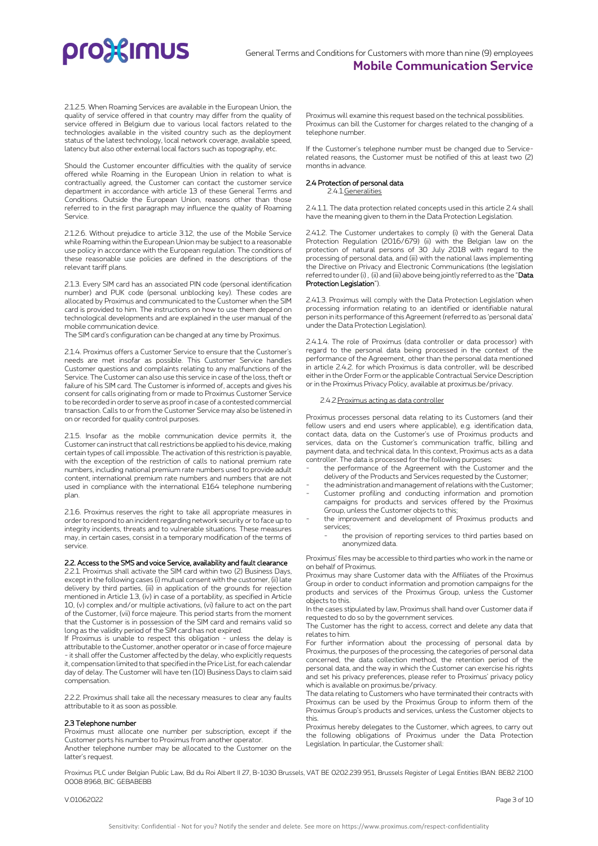2.1.2.5. When Roaming Services are available in the European Union, the quality of service offered in that country may differ from the quality of service offered in Belgium due to various local factors related to the technologies available in the visited country such as the deployment status of the latest technology, local network coverage, available speed, latency but also other external local factors such as topography, etc.

Should the Customer encounter difficulties with the quality of service offered while Roaming in the European Union in relation to what is contractually agreed, the Customer can contact the customer service department in accordance with article 13 of these General Terms and Conditions. Outside the European Union, reasons other than those referred to in the first paragraph may influence the quality of Roaming Service.

2.1.2.6. Without prejudice to article 3.12, the use of the Mobile Service while Roaming within the European Union may be subject to a reasonable use policy in accordance with the European regulation. The conditions of these reasonable use policies are defined in the descriptions of the relevant tariff plans.

2.1.3. Every SIM card has an associated PIN code (personal identification number) and PUK code (personal unblocking key). These codes are allocated by Proximus and communicated to the Customer when the SIM card is provided to him. The instructions on how to use them depend on technological developments and are explained in the user manual of the mobile communication device.

The SIM card's configuration can be changed at any time by Proximus.

2.1.4. Proximus offers a Customer Service to ensure that the Customer's needs are met insofar as possible. This Customer Service handles Customer questions and complaints relating to any malfunctions of the Service. The Customer can also use this service in case of the loss, theft or failure of his SIM card. The Customer is informed of, accepts and gives his consent for calls originating from or made to Proximus Customer Service to be recorded in order to serve as proof in case of a contested commercial transaction. Calls to or from the Customer Service may also be listened in on or recorded for quality control purposes.

2.1.5. Insofar as the mobile communication device permits it, the Customer can instruct that call restrictions be applied to his device, making certain types of call impossible. The activation of this restriction is payable, with the exception of the restriction of calls to national premium rate numbers, including national premium rate numbers used to provide adult content, international premium rate numbers and numbers that are not used in compliance with the international E164 telephone numbering plan.

2.1.6. Proximus reserves the right to take all appropriate measures in order to respond to an incident regarding network security or to face up to integrity incidents, threats and to vulnerable situations. These measures may, in certain cases, consist in a temporary modification of the terms of service.

### 2.2. Access to the SMS and voice Service, availability and fault clearance

2.2.1. Proximus shall activate the SIM card within two (2) Business Days, except in the following cases (i) mutual consent with the customer, (ii) late delivery by third parties, (iii) in application of the grounds for rejection mentioned in Article 1.3, (iv) in case of a portability, as specified in Article 10, (v) complex and/or multiple activations, (vi) failure to act on the part of the Customer, (vii) force majeure. This period starts from the moment that the Customer is in possession of the SIM card and remains valid so long as the validity period of the SIM card has not expired.

If Proximus is unable to respect this obligation - unless the delay is attributable to the Customer, another operator or in case of force majeure - it shall offer the Customer affected by the delay, who explicitly requests it, compensation limited to that specified in the Price List, for each calendar day of delay. The Customer will have ten (10) Business Days to claim said compensation.

2.2.2. Proximus shall take all the necessary measures to clear any faults attributable to it as soon as possible.

#### 2.3 Telephone number

Proximus must allocate one number per subscription, except if the Customer ports his number to Proximus from another operator. Another telephone number may be allocated to the Customer on the latter's request.

Proximus will examine this request based on the technical possibilities. Proximus can bill the Customer for charges related to the changing of a telephone number.

If the Customer's telephone number must be changed due to Servicerelated reasons, the Customer must be notified of this at least two (2) months in advance.

### 2.4 Protection of personal data

2.4.1.Generalities

2.4.1.1. The data protection related concepts used in this article 2.4 shall have the meaning given to them in the Data Protection Legislation.

2.41.2. The Customer undertakes to comply (i) with the General Data Protection Regulation (2016/679) (ii) with the Belgian law on the protection of natural persons of 30 July 2018 with regard to the processing of personal data, and (iii) with the national laws implementing the Directive on Privacy and Electronic Communications (the legislation referred to under (i) , (ii) and (iii) above being jointly referred to as the "Data Protection Legislation").

2.41.3. Proximus will comply with the Data Protection Legislation when processing information relating to an identified or identifiable natural person in its performance of this Agreement (referred to as 'personal data' under the Data Protection Legislation).

2.4.1.4. The role of Proximus (data controller or data processor) with regard to the personal data being processed in the context of the performance of the Agreement, other than the personal data mentioned in article 2.4.2. for which Proximus is data controller, will be described either in the Order Form or the applicable Contractual Service Description or in the Proximus Privacy Policy, available at proximus.be/privacy.

# 2.4.2.Proximus acting as data controller

Proximus processes personal data relating to its Customers (and their fellow users and end users where applicable), e.g. identification data, contact data, data on the Customer's use of Proximus products and services, data on the Customer's communication traffic, billing and payment data, and technical data. In this context, Proximus acts as a data controller. The data is processed for the following purposes:

- the performance of the Agreement with the Customer and the delivery of the Products and Services requested by the Customer;
- the administration and management of relations with the Customer;
- Customer profiling and conducting information and promotion campaigns for products and services offered by the Proximus Group, unless the Customer objects to this;
- the improvement and development of Proximus products and services;
	- the provision of reporting services to third parties based on anonymized data.

Proximus' files may be accessible to third parties who work in the name or on behalf of Proximus.

Proximus may share Customer data with the Affiliates of the Proximus Group in order to conduct information and promotion campaigns for the products and services of the Proximus Group, unless the Customer objects to this.

In the cases stipulated by law, Proximus shall hand over Customer data if requested to do so by the government services.

The Customer has the right to access, correct and delete any data that relates to him.

For further information about the processing of personal data by Proximus, the purposes of the processing, the categories of personal data concerned, the data collection method, the retention period of the personal data, and the way in which the Customer can exercise his rights and set his privacy preferences, please refer to Proximus' privacy policy which is available on proximus.be/privacy.

The data relating to Customers who have terminated their contracts with Proximus can be used by the Proximus Group to inform them of the Proximus Group's products and services, unless the Customer objects to this.

Proximus hereby delegates to the Customer, which agrees, to carry out the following obligations of Proximus under the Data Protection Legislation. In particular, the Customer shall:

Proximus PLC under Belgian Public Law, Bd du Roi Albert II 27, B-1030 Brussels, VAT BE 0202.239.951, Brussels Register of Legal Entities IBAN: BE82 2100 0008 8968, BIC: GEBABEBB

V.01062022 Page 3 of 10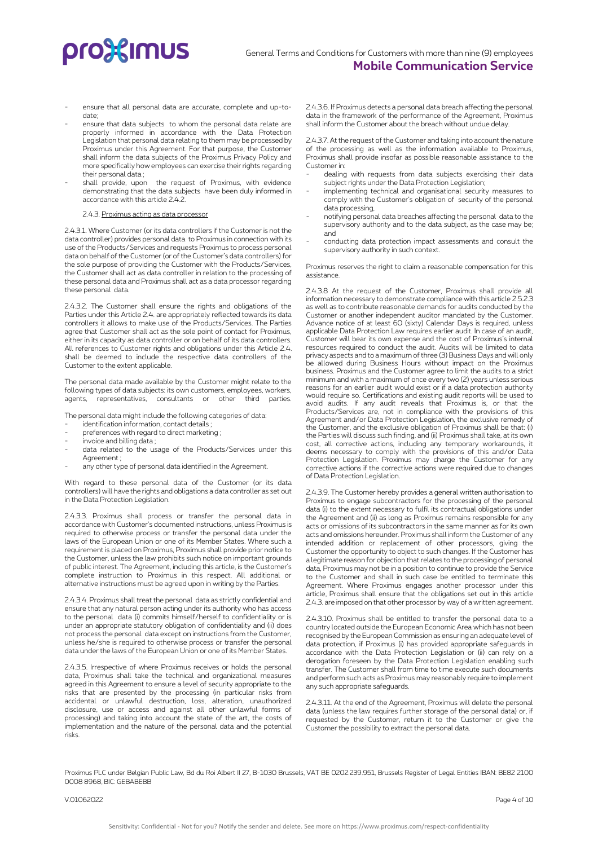- ensure that all personal data are accurate, complete and up-todate;
- ensure that data subjects to whom the personal data relate are properly informed in accordance with the Data Protection Legislation that personal data relating to them may be processed by Proximus under this Agreement. For that purpose, the Customer shall inform the data subjects of the Proximus Privacy Policy and more specifically how employees can exercise their rights regarding their personal data ;
- shall provide, upon the request of Proximus, with evidence demonstrating that the data subjects have been duly informed in accordance with this article 2.4.2.

# 2.4.3. Proximus acting as data processor

2.4.3.1. Where Customer (or its data controllers if the Customer is not the data controller) provides personal data to Proximus in connection with its use of the Products/Services and requests Proximus to process personal data on behalf of the Customer (or of the Customer's data controllers) for the sole purpose of providing the Customer with the Products/Services, the Customer shall act as data controller in relation to the processing of these personal data and Proximus shall act as a data processor regarding these personal data.

2.4.3.2. The Customer shall ensure the rights and obligations of the Parties under this Article 2.4. are appropriately reflected towards its data controllers it allows to make use of the Products/Services. The Parties agree that Customer shall act as the sole point of contact for Proximus, either in its capacity as data controller or on behalf of its data controllers. All references to Customer rights and obligations under this Article 2.4. shall be deemed to include the respective data controllers of the Customer to the extent applicable.

The personal data made available by the Customer might relate to the following types of data subjects: its own customers, employees, workers, agents, representatives, consultants or other third parties.

The personal data might include the following categories of data:

- identification information, contact details :
- preferences with regard to direct marketing ;
- invoice and billing data;
- data related to the usage of the Products/Services under this Agreement ;
- any other type of personal data identified in the Agreement.

With regard to these personal data of the Customer (or its data controllers) will have the rights and obligations a data controller as set out in the Data Protection Legislation.

2.4.3.3. Proximus shall process or transfer the personal data in accordance with Customer's documented instructions, unless Proximus is required to otherwise process or transfer the personal data under the laws of the European Union or one of its Member States. Where such a requirement is placed on Proximus, Proximus shall provide prior notice to the Customer, unless the law prohibits such notice on important grounds of public interest. The Agreement, including this article, is the Customer's complete instruction to Proximus in this respect. All additional or alternative instructions must be agreed upon in writing by the Parties.

2.4.3.4. Proximus shall treat the personal data as strictly confidential and ensure that any natural person acting under its authority who has access to the personal data (i) commits himself/herself to confidentiality or is under an appropriate statutory obligation of confidentiality and (ii) does not process the personal data except on instructions from the Customer, unless he/she is required to otherwise process or transfer the personal data under the laws of the European Union or one of its Member States.

2.4.3.5. Irrespective of where Proximus receives or holds the personal data, Proximus shall take the technical and organizational measures agreed in this Agreement to ensure a level of security appropriate to the risks that are presented by the processing (in particular risks from accidental or unlawful destruction, loss, alteration, unauthorized disclosure, use or access and against all other unlawful forms of processing) and taking into account the state of the art, the costs of implementation and the nature of the personal data and the potential risks.

2.4.3.6. If Proximus detects a personal data breach affecting the personal data in the framework of the performance of the Agreement, Proximus shall inform the Customer about the breach without undue delay.

2.4.3.7. At the request of the Customer and taking into account the nature of the processing as well as the information available to Proximus, Proximus shall provide insofar as possible reasonable assistance to the Customer in:

- dealing with requests from data subjects exercising their data subject rights under the Data Protection Legislation;
- implementing technical and organisational security measures to comply with the Customer's obligation of security of the personal data processing,
- notifying personal data breaches affecting the personal data to the supervisory authority and to the data subject, as the case may be; and
- conducting data protection impact assessments and consult the supervisory authority in such context.

Proximus reserves the right to claim a reasonable compensation for this assistance.

2.4.3.8 At the request of the Customer, Proximus shall provide all information necessary to demonstrate compliance with this article 2.5.2.3 as well as to contribute reasonable demands for audits conducted by the Customer or another independent auditor mandated by the Customer. Advance notice of at least 60 (sixty) Calendar Days is required, unless applicable Data Protection Law requires earlier audit. In case of an audit, Customer will bear its own expense and the cost of Proximus's internal resources required to conduct the audit. Audits will be limited to data privacy aspects and to a maximum of three (3) Business Days and will only be allowed during Business Hours without impact on the Proximus business. Proximus and the Customer agree to limit the audits to a strict minimum and with a maximum of once every two (2) years unless serious reasons for an earlier audit would exist or if a data protection authority would require so. Certifications and existing audit reports will be used to avoid audits. If any audit reveals that Proximus is, or that the Products/Services are, not in compliance with the provisions of this Agreement and/or Data Protection Legislation, the exclusive remedy of the Customer, and the exclusive obligation of Proximus shall be that: (i) the Parties will discuss such finding, and (ii) Proximus shall take, at its own cost, all corrective actions, including any temporary workarounds, it deems necessary to comply with the provisions of this and/or Data Protection Legislation. Proximus may charge the Customer for any corrective actions if the corrective actions were required due to changes of Data Protection Legislation.

2.4.3.9. The Customer hereby provides a general written authorisation to Proximus to engage subcontractors for the processing of the personal data (i) to the extent necessary to fulfil its contractual obligations under the Agreement and (ii) as long as Proximus remains responsible for any acts or omissions of its subcontractors in the same manner as for its own acts and omissions hereunder. Proximus shall inform the Customer of any intended addition or replacement of other processors, giving the Customer the opportunity to object to such changes. If the Customer has a legitimate reason for objection that relates to the processing of personal data, Proximus may not be in a position to continue to provide the Service to the Customer and shall in such case be entitled to terminate this Agreement. Where Proximus engages another processor under this article, Proximus shall ensure that the obligations set out in this article 2.4.3. are imposed on that other processor by way of a written agreement.

2.4.3.10. Proximus shall be entitled to transfer the personal data to a country located outside the European Economic Area which has not been recognised by the European Commission as ensuring an adequate level of data protection, if Proximus (i) has provided appropriate safeguards in accordance with the Data Protection Legislation or (ii) can rely on a derogation foreseen by the Data Protection Legislation enabling such transfer. The Customer shall from time to time execute such documents and perform such acts as Proximus may reasonably require to implement any such appropriate safeguards.

2.4.3.11. At the end of the Agreement, Proximus will delete the personal data (unless the law requires further storage of the personal data) or, if requested by the Customer, return it to the Customer or give the Customer the possibility to extract the personal data.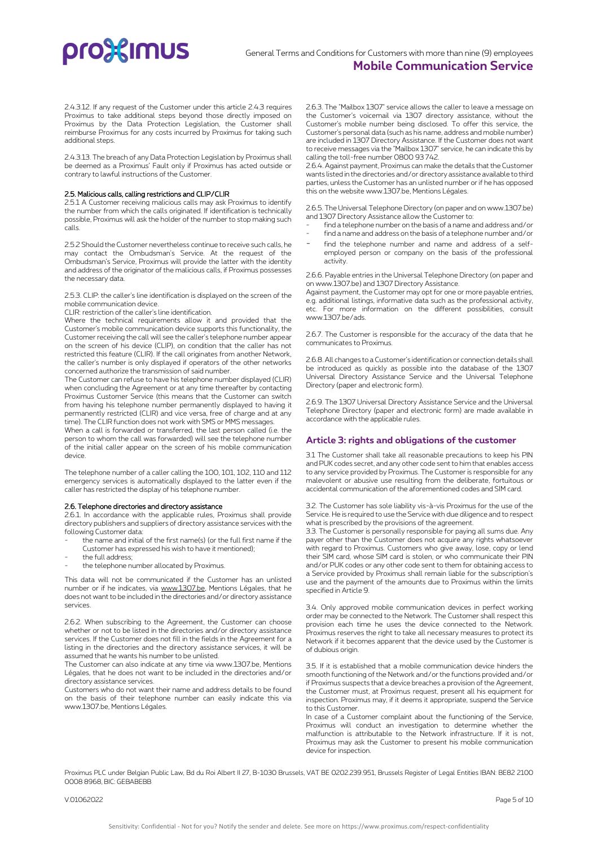2.4.3.12. If any request of the Customer under this article 2.4.3 requires Proximus to take additional steps beyond those directly imposed on Proximus by the Data Protection Legislation, the Customer shall reimburse Proximus for any costs incurred by Proximus for taking such additional steps.

2.4.3.13. The breach of any Data Protection Legislation by Proximus shall be deemed as a Proximus' Fault only if Proximus has acted outside or contrary to lawful instructions of the Customer.

## 2.5. Malicious calls, calling restrictions and CLIP/CLIR

2.5.1 A Customer receiving malicious calls may ask Proximus to identify the number from which the calls originated. If identification is technically possible, Proximus will ask the holder of the number to stop making such calls.

2.5.2 Should the Customer nevertheless continue to receive such calls, he may contact the Ombudsman's Service. At the request of the Ombudsman's Service, Proximus will provide the latter with the identity and address of the originator of the malicious calls, if Proximus possesses the necessary data.

2.5.3. CLIP: the caller's line identification is displayed on the screen of the mobile communication device.

CLIR: restriction of the caller's line identification.

Where the technical requirements allow it and provided that the Customer's mobile communication device supports this functionality, the Customer receiving the call will see the caller's telephone number appear on the screen of his device (CLIP), on condition that the caller has not restricted this feature (CLIR). If the call originates from another Network, the caller's number is only displayed if operators of the other networks concerned authorize the transmission of said number.

The Customer can refuse to have his telephone number displayed (CLIR) when concluding the Agreement or at any time thereafter by contacting Proximus Customer Service (this means that the Customer can switch from having his telephone number permanently displayed to having it permanently restricted (CLIR) and vice versa, free of charge and at any time). The CLIR function does not work with SMS or MMS messages.

When a call is forwarded or transferred, the last person called (i.e. the person to whom the call was forwarded) will see the telephone number of the initial caller appear on the screen of his mobile communication device.

The telephone number of a caller calling the 100, 101, 102, 110 and 112 emergency services is automatically displayed to the latter even if the caller has restricted the display of his telephone number.

### 2.6. Telephone directories and directory assistance

2.6.1. In accordance with the applicable rules, Proximus shall provide directory publishers and suppliers of directory assistance services with the following Customer data:

- the name and initial of the first name(s) (or the full first name if the
- Customer has expressed his wish to have it mentioned);
- the full address;
- the telephone number allocated by Proximus.

This data will not be communicated if the Customer has an unlisted number or if he indicates, via [www.1307.be,](http://www.1307.be/) Mentions Légales, that he does not want to be included in the directories and/or directory assistance services.

2.6.2. When subscribing to the Agreement, the Customer can choose whether or not to be listed in the directories and/or directory assistance services. If the Customer does not fill in the fields in the Agreement for a listing in the directories and the directory assistance services, it will be assumed that he wants his number to be unlisted.

The Customer can also indicate at any time via www.1307.be, Mentions Légales, that he does not want to be included in the directories and/or directory assistance services.

Customers who do not want their name and address details to be found on the basis of their telephone number can easily indicate this via www.1307.be, Mentions Légales.

2.6.3. The "Mailbox 1307" service allows the caller to leave a message on the Customer's voicemail via 1307 directory assistance, without the Customer's mobile number being disclosed. To offer this service, the Customer's personal data (such as his name, address and mobile number) are included in 1307 Directory Assistance. If the Customer does not want to receive messages via the "Mailbox 1307" service, he can indicate this by calling the toll-free number 0800 93 742.

2.6.4. Against payment, Proximus can make the details that the Customer wants listed in the directories and/or directory assistance available to third parties, unless the Customer has an unlisted number or if he has opposed this on the website www.1307.be, Mentions Légales.

2.6.5. The Universal Telephone Directory (on paper and on www.1307.be) and 1307 Directory Assistance allow the Customer to:

- find a telephone number on the basis of a name and address and/or
- find a name and address on the basis of a telephone number and/or
- find the telephone number and name and address of a selfemployed person or company on the basis of the professional activity.

2.6.6. Payable entries in the Universal Telephone Directory (on paper and on www.1307.be) and 1307 Directory Assistance.

Against payment, the Customer may opt for one or more payable entries, e.g. additional listings, informative data such as the professional activity, etc. For more information on the different possibilities, consult www.1307.be/ads.

2.6.7. The Customer is responsible for the accuracy of the data that he communicates to Proximus.

2.6.8. All changes to a Customer's identification or connection details shall be introduced as quickly as possible into the database of the 1307 Universal Directory Assistance Service and the Universal Telephone Directory (paper and electronic form).

2.6.9. The 1307 Universal Directory Assistance Service and the Universal Telephone Directory (paper and electronic form) are made available in accordance with the applicable rules.

# **Article 3: rights and obligations of the customer**

3.1 The Customer shall take all reasonable precautions to keep his PIN and PUK codes secret, and any other code sent to him that enables access to any service provided by Proximus. The Customer is responsible for any malevolent or abusive use resulting from the deliberate, fortuitous or accidental communication of the aforementioned codes and SIM card.

3.2. The Customer has sole liability vis-à-vis Proximus for the use of the Service. He is required to use the Service with due diligence and to respect what is prescribed by the provisions of the agreement.

3.3. The Customer is personally responsible for paying all sums due. Any payer other than the Customer does not acquire any rights whatsoever with regard to Proximus. Customers who give away, lose, copy or lend their SIM card, whose SIM card is stolen, or who communicate their PIN and/or PUK codes or any other code sent to them for obtaining access to a Service provided by Proximus shall remain liable for the subscription's use and the payment of the amounts due to Proximus within the limits specified in Article 9.

3.4. Only approved mobile communication devices in perfect working order may be connected to the Network. The Customer shall respect this provision each time he uses the device connected to the Network. Proximus reserves the right to take all necessary measures to protect its Network if it becomes apparent that the device used by the Customer is of dubious origin.

3.5. If it is established that a mobile communication device hinders the smooth functioning of the Network and/or the functions provided and/or if Proximus suspects that a device breaches a provision of the Agreement, the Customer must, at Proximus request, present all his equipment for inspection. Proximus may, if it deems it appropriate, suspend the Service to this Customer.

In case of a Customer complaint about the functioning of the Service, Proximus will conduct an investigation to determine whether the malfunction is attributable to the Network infrastructure. If it is not, Proximus may ask the Customer to present his mobile communication device for inspection.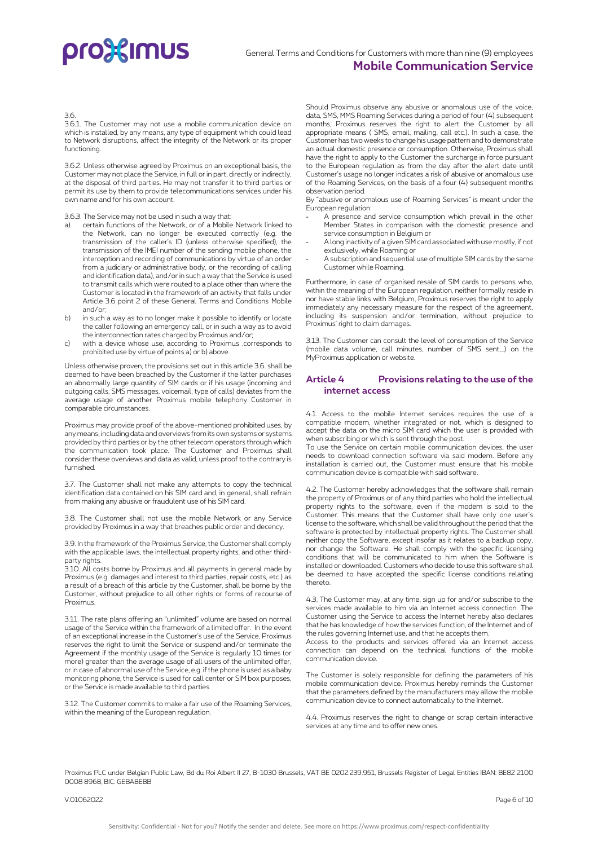### 3.6.

3.6.1. The Customer may not use a mobile communication device on which is installed, by any means, any type of equipment which could lead to Network disruptions, affect the integrity of the Network or its proper functioning.

3.6.2. Unless otherwise agreed by Proximus on an exceptional basis, the Customer may not place the Service, in full or in part, directly or indirectly, at the disposal of third parties. He may not transfer it to third parties or permit its use by them to provide telecommunications services under his own name and for his own account.

3.6.3. The Service may not be used in such a way that:

- certain functions of the Network, or of a Mobile Network linked to the Network, can no longer be executed correctly (e.g. the transmission of the caller's ID (unless otherwise specified), the transmission of the IMEI number of the sending mobile phone, the interception and recording of communications by virtue of an order from a judiciary or administrative body, or the recording of calling and identification data), and/or in such a way that the Service is used to transmit calls which were routed to a place other than where the Customer is located in the framework of an activity that falls under Article 3.6 point 2 of these General Terms and Conditions Mobile and/or;
- b) in such a way as to no longer make it possible to identify or locate the caller following an emergency call, or in such a way as to avoid the interconnection rates charged by Proximus and/or;
- c) with a device whose use, according to Proximus ,corresponds to prohibited use by virtue of points a) or b) above.

Unless otherwise proven, the provisions set out in this article 3.6. shall be deemed to have been breached by the Customer if the latter purchases an abnormally large quantity of SIM cards or if his usage (incoming and outgoing calls, SMS messages, voicemail, type of calls) deviates from the average usage of another Proximus mobile telephony Customer in comparable circumstances.

Proximus may provide proof of the above-mentioned prohibited uses, by any means, including data and overviews from its own systems or systems provided by third parties or by the other telecom operators through which the communication took place. The Customer and Proximus shall consider these overviews and data as valid, unless proof to the contrary is furnished.

3.7. The Customer shall not make any attempts to copy the technical identification data contained on his SIM card and, in general, shall refrain from making any abusive or fraudulent use of his SIM card.

3.8. The Customer shall not use the mobile Network or any Service provided by Proximus in a way that breaches public order and decency.

3.9. In the framework of the Proximus Service, the Customer shall comply with the applicable laws, the intellectual property rights, and other thirdparty rights.

3.10. All costs borne by Proximus and all payments in general made by Proximus (e.g. damages and interest to third parties, repair costs, etc.) as a result of a breach of this article by the Customer, shall be borne by the Customer, without prejudice to all other rights or forms of recourse of Proximus.

3.11. The rate plans offering an "unlimited" volume are based on normal usage of the Service within the framework of a limited offer. In the event of an exceptional increase in the Customer's use of the Service, Proximus reserves the right to limit the Service or suspend and/or terminate the Agreement if the monthly usage of the Service is regularly 10 times (or more) greater than the average usage of all users of the unlimited offer, or in case of abnormal use of the Service, e.g. if the phone is used as a baby monitoring phone, the Service is used for call center or SIM box purposes, or the Service is made available to third parties.

3.12. The Customer commits to make a fair use of the Roaming Services, within the meaning of the European regulation.

Should Proximus observe any abusive or anomalous use of the voice, data, SMS, MMS Roaming Services during a period of four (4) subsequent months, Proximus reserves the right to alert the Customer by all appropriate means ( SMS, email, mailing, call etc.). In such a case, the Customer has two weeks to change his usage pattern and to demonstrate an actual domestic presence or consumption. Otherwise, Proximus shall have the right to apply to the Customer the surcharge in force pursuant to the European regulation as from the day after the alert date until Customer's usage no longer indicates a risk of abusive or anomalous use of the Roaming Services, on the basis of a four (4) subsequent months observation period.

By "abusive or anomalous use of Roaming Services" is meant under the European regulation:

- A presence and service consumption which prevail in the other Member States in comparison with the domestic presence and service consumption in Belgium or
- A long inactivity of a given SIM card associated with use mostly, if not exclusively, while Roaming or
- A subscription and sequential use of multiple SIM cards by the same Customer while Roaming.

Furthermore, in case of organised resale of SIM cards to persons who, within the meaning of the European regulation, neither formally reside in nor have stable links with Belgium, Proximus reserves the right to apply immediately any necessary measure for the respect of the agreement, including its suspension and/or termination, without prejudice to Proximus' right to claim damages.

3.13. The Customer can consult the level of consumption of the Service (mobile data volume, call minutes, number of SMS sent,…) on the MyProximus application or website.

# **Article 4 Provisions relating to the use of the internet access**

4.1. Access to the mobile Internet services requires the use of a compatible modem, whether integrated or not, which is designed to accept the data on the micro SIM card which the user is provided with when subscribing or which is sent through the post.

To use the Service on certain mobile communication devices, the user needs to download connection software via said modem. Before any installation is carried out, the Customer must ensure that his mobile communication device is compatible with said software.

4.2. The Customer hereby acknowledges that the software shall remain the property of Proximus or of any third parties who hold the intellectual property rights to the software, even if the modem is sold to the Customer. This means that the Customer shall have only one user's license to the software, which shall be valid throughout the period that the software is protected by intellectual property rights. The Customer shall neither copy the Software, except insofar as it relates to a backup copy, nor change the Software. He shall comply with the specific licensing conditions that will be communicated to him when the Software is installed or downloaded. Customers who decide to use this software shall be deemed to have accepted the specific license conditions relating thereto.

4.3. The Customer may, at any time, sign up for and/or subscribe to the services made available to him via an Internet access connection. The Customer using the Service to access the Internet hereby also declares that he has knowledge of how the services function, of the Internet and of the rules governing Internet use, and that he accepts them.

Access to the products and services offered via an Internet access connection can depend on the technical functions of the mobile communication device.

The Customer is solely responsible for defining the parameters of his mobile communication device. Proximus hereby reminds the Customer that the parameters defined by the manufacturers may allow the mobile communication device to connect automatically to the Internet.

4.4. Proximus reserves the right to change or scrap certain interactive services at any time and to offer new ones.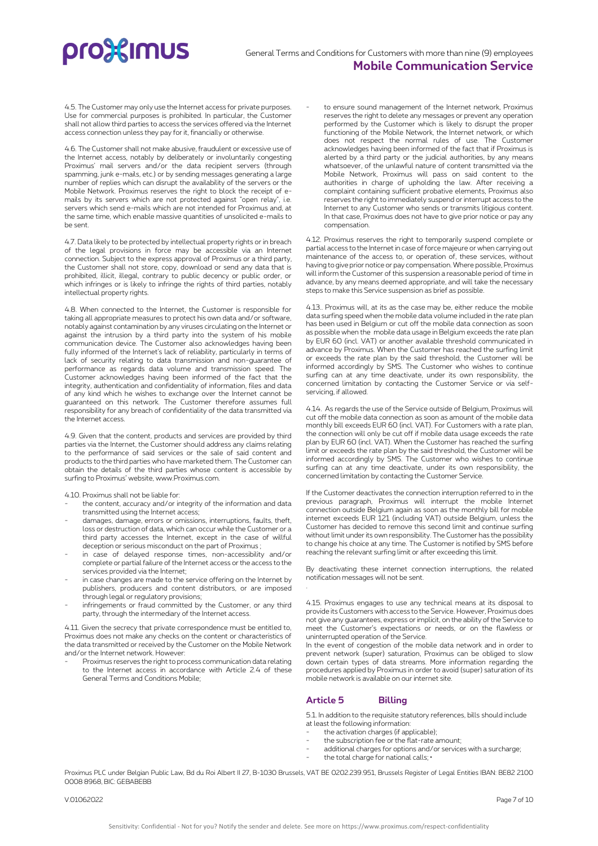4.5. The Customer may only use the Internet access for private purposes. Use for commercial purposes is prohibited. In particular, the Customer shall not allow third parties to access the services offered via the Internet access connection unless they pay for it, financially or otherwise.

4.6. The Customer shall not make abusive, fraudulent or excessive use of the Internet access, notably by deliberately or involuntarily congesting Proximus' mail servers and/or the data recipient servers (through spamming, junk e-mails, etc.) or by sending messages generating a large number of replies which can disrupt the availability of the servers or the Mobile Network. Proximus reserves the right to block the receipt of emails by its servers which are not protected against "open relay", i.e. servers which send e-mails which are not intended for Proximus and, at the same time, which enable massive quantities of unsolicited e-mails to be sent.

4.7. Data likely to be protected by intellectual property rights or in breach of the legal provisions in force may be accessible via an Internet connection. Subject to the express approval of Proximus or a third party, the Customer shall not store, copy, download or send any data that is prohibited, illicit, illegal, contrary to public decency or public order, or which infringes or is likely to infringe the rights of third parties, notably intellectual property rights.

4.8. When connected to the Internet, the Customer is responsible for taking all appropriate measures to protect his own data and/or software, notably against contamination by any viruses circulating on the Internet or against the intrusion by a third party into the system of his mobile communication device. The Customer also acknowledges having been fully informed of the Internet's lack of reliability, particularly in terms of lack of security relating to data transmission and non-guarantee of performance as regards data volume and transmission speed. The Customer acknowledges having been informed of the fact that the integrity, authentication and confidentiality of information, files and data of any kind which he wishes to exchange over the Internet cannot be guaranteed on this network. The Customer therefore assumes full responsibility for any breach of confidentiality of the data transmitted via the Internet access.

4.9. Given that the content, products and services are provided by third parties via the Internet, the Customer should address any claims relating to the performance of said services or the sale of said content and products to the third parties who have marketed them. The Customer can obtain the details of the third parties whose content is accessible by surfing to Proximus' website, www.Proximus.com.

4.10. Proximus shall not be liable for:

- the content, accuracy and/or integrity of the information and data transmitted using the Internet access;
- damages, damage, errors or omissions, interruptions, faults, theft, loss or destruction of data, which can occur while the Customer or a third party accesses the Internet, except in the case of willful deception or serious misconduct on the part of Proximus ;
- in case of delayed response times, non-accessibility and/or complete or partial failure of the Internet access or the access to the services provided via the Internet;
- in case changes are made to the service offering on the Internet by publishers, producers and content distributors, or are imposed through legal or regulatory provisions;
- infringements or fraud committed by the Customer, or any third party, through the intermediary of the Internet access.

4.11. Given the secrecy that private correspondence must be entitled to, Proximus does not make any checks on the content or characteristics of the data transmitted or received by the Customer on the Mobile Network and/or the Internet network. However:

Proximus reserves the right to process communication data relating to the Internet access in accordance with Article 2.4 of these General Terms and Conditions Mobile;

to ensure sound management of the Internet network, Proximus reserves the right to delete any messages or prevent any operation performed by the Customer which is likely to disrupt the proper functioning of the Mobile Network, the Internet network, or which does not respect the normal rules of use. The Customer acknowledges having been informed of the fact that if Proximus is alerted by a third party or the judicial authorities, by any means whatsoever, of the unlawful nature of content transmitted via the Mobile Network, Proximus will pass on said content to the authorities in charge of upholding the law. After receiving a complaint containing sufficient probative elements, Proximus also reserves the right to immediately suspend or interrupt access to the Internet to any Customer who sends or transmits litigious content. In that case, Proximus does not have to give prior notice or pay any compensation.

4.12. Proximus reserves the right to temporarily suspend complete or partial access to the Internet in case of force majeure or when carrying out maintenance of the access to, or operation of, these services, without having to give prior notice or pay compensation. Where possible, Proximus will inform the Customer of this suspension a reasonable period of time in advance, by any means deemed appropriate, and will take the necessary steps to make this Service suspension as brief as possible.

4.13.. Proximus will, at its as the case may be, either reduce the mobile data surfing speed when the mobile data volume included in the rate plan has been used in Belgium or cut off the mobile data connection as soon as possible when the mobile data usage in Belgium exceeds the rate plan by EUR 60 (incl. VAT) or another available threshold communicated in advance by Proximus. When the Customer has reached the surfing limit or exceeds the rate plan by the said threshold, the Customer will be informed accordingly by SMS. The Customer who wishes to continue surfing can at any time deactivate, under its own responsibility, the concerned limitation by contacting the Customer Service or via selfservicing, if allowed.

4.14. As regards the use of the Service outside of Belgium, Proximus will cut off the mobile data connection as soon as amount of the mobile data monthly bill exceeds EUR 60 (incl. VAT). For Customers with a rate plan, the connection will only be cut off if mobile data usage exceeds the rate plan by EUR 60 (incl. VAT). When the Customer has reached the surfing limit or exceeds the rate plan by the said threshold, the Customer will be informed accordingly by SMS. The Customer who wishes to continue surfing can at any time deactivate, under its own responsibility, the concerned limitation by contacting the Customer Service.

If the Customer deactivates the connection interruption referred to in the previous paragraph, Proximus will interrupt the mobile Internet connection outside Belgium again as soon as the monthly bill for mobile internet exceeds EUR 121 (including VAT) outside Belgium, unless the Customer has decided to remove this second limit and continue surfing without limit under its own responsibility. The Customer has the possibility to change his choice at any time. The Customer is notified by SMS before reaching the relevant surfing limit or after exceeding this limit.

By deactivating these internet connection interruptions, the related notification messages will not be sent.

4.15. Proximus engages to use any technical means at its disposal to provide its Customers with access to the Service. However, Proximus does not give any guarantees, express or implicit, on the ability of the Service to meet the Customer's expectations or needs, or on the flawless or uninterrupted operation of the Service.

In the event of congestion of the mobile data network and in order to prevent network (super) saturation, Proximus can be obliged to slow down certain types of data streams. More information regarding the procedures applied by Proximus in order to avoid (super) saturation of its mobile network is available on our internet site.

# **Article 5 Billing**

5.1. In addition to the requisite statutory references, bills should include at least the following information:

- the activation charges (if applicable);
- the subscription fee or the flat-rate amount;
- additional charges for options and/or services with a surcharge;
- the total charge for national calls; •

Proximus PLC under Belgian Public Law, Bd du Roi Albert II 27, B-1030 Brussels, VAT BE 0202.239.951, Brussels Register of Legal Entities IBAN: BE82 2100 0008 8968, BIC: GEBABEBB

.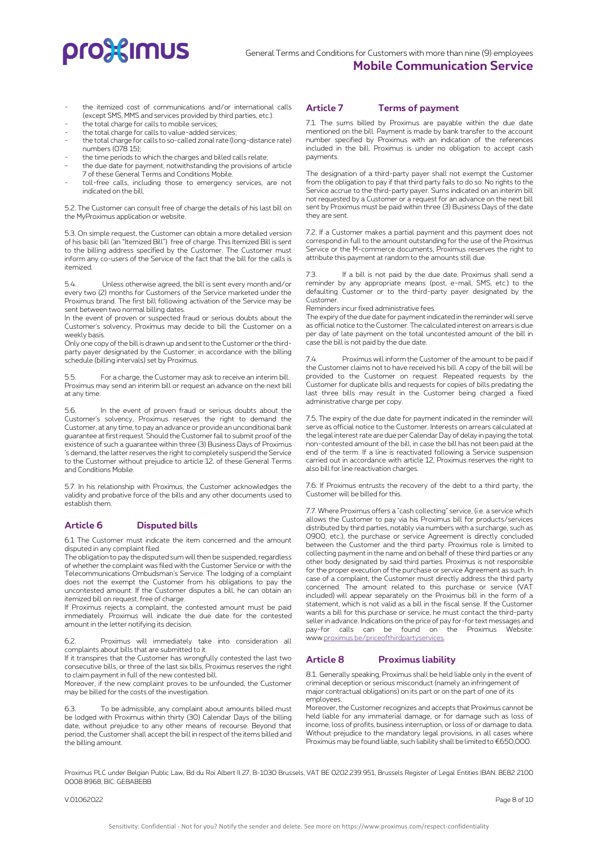- the itemized cost of communications and/or international calls (except SMS, MMS and services provided by third parties, etc.).
- the total charge for calls to mobile services;
- the total charge for calls to value-added services;
- the total charge for calls to so-called zonal rate (long-distance rate) numbers (078 15);
- the time periods to which the charges and billed calls relate;
- the due date for payment, notwithstanding the provisions of article 7 of these General Terms and Conditions Mobile.
- toll-free calls, including those to emergency services, are not indicated on the bill.

5.2. The Customer can consult free of charge the details of his last bill on the MyProximus application or website.

5.3. On simple request, the Customer can obtain a more detailed version of his basic bill (an "Itemized Bill") free of charge. This Itemized Bill is sent to the billing address specified by the Customer. The Customer must inform any co-users of the Service of the fact that the bill for the calls is itemized.

5.4. Unless otherwise agreed, the bill is sent every month and/or every two (2) months for Customers of the Service marketed under the Proximus brand. The first bill following activation of the Service may be sent between two normal billing dates

In the event of proven or suspected fraud or serious doubts about the Customer's solvency, Proximus may decide to bill the Customer on a weekly basis.

Only one copy of the bill is drawn up and sent to the Customer or the thirdparty payer designated by the Customer, in accordance with the billing schedule (billing intervals) set by Proximus.

5.5. For a charge, the Customer may ask to receive an interim bill. Proximus may send an interim bill or request an advance on the next bill at any time.

5.6. In the event of proven fraud or serious doubts about the Customer's solvency, Proximus reserves the right to demand the Customer, at any time, to pay an advance or provide an unconditional bank guarantee at first request. Should the Customer fail to submit proof of the existence of such a guarantee within three (3) Business Days of Proximus 's demand, the latter reserves the right to completely suspend the Service to the Customer without prejudice to article 12. of these General Terms and Conditions Mobile.

5.7. In his relationship with Proximus, the Customer acknowledges the validity and probative force of the bills and any other documents used to establish them.

# **Article 6 Disputed bills**

6.1 The Customer must indicate the item concerned and the amount disputed in any complaint filed.

The obligation to pay the disputed sum will then be suspended, regardless of whether the complaint was filed with the Customer Service or with the Telecommunications Ombudsman's Service. The lodging of a complaint does not the exempt the Customer from his obligations to pay the uncontested amount. If the Customer disputes a bill, he can obtain an itemized bill on request, free of charge.

If Proximus rejects a complaint, the contested amount must be paid immediately. Proximus will indicate the due date for the contested amount in the letter notifying its decision.

6.2. Proximus will immediately take into consideration all complaints about bills that are submitted to it.

If it transpires that the Customer has wrongfully contested the last two consecutive bills, or three of the last six bills, Proximus reserves the right to claim payment in full of the new contested bill.

Moreover, if the new complaint proves to be unfounded, the Customer may be billed for the costs of the investigation.

6.3. To be admissible, any complaint about amounts billed must be lodged with Proximus within thirty (30) Calendar Days of the billing date, without prejudice to any other means of recourse. Beyond that period, the Customer shall accept the bill in respect of the items billed and the billing amount.

# **Article 7 Terms of payment**

7.1. The sums billed by Proximus are payable within the due date mentioned on the bill. Payment is made by bank transfer to the account number specified by Proximus with an indication of the references included in the bill. Proximus is under no obligation to accept cash payments.

The designation of a third-party payer shall not exempt the Customer from the obligation to pay if that third party fails to do so. No rights to the Service accrue to the third-party payer. Sums indicated on an interim bill not requested by a Customer or a request for an advance on the next bill sent by Proximus must be paid within three (3) Business Days of the date they are sent.

7.2. If a Customer makes a partial payment and this payment does not correspond in full to the amount outstanding for the use of the Proximus Service or the M-commerce documents, Proximus reserves the right to attribute this payment at random to the amounts still due.

7.3. If a bill is not paid by the due date, Proximus shall send a reminder by any appropriate means (post, e-mail, SMS, etc.) to the defaulting Customer or to the third-party payer designated by the Customer.

Reminders incur fixed administrative fees.

The expiry of the due date for payment indicated in the reminder will serve as official notice to the Customer. The calculated interest on arrears is due per day of late payment on the total uncontested amount of the bill in case the bill is not paid by the due date.

7.4. Proximus will inform the Customer of the amount to be paid if the Customer claims not to have received his bill. A copy of the bill will be provided to the Customer on request. Repeated requests by the Customer for duplicate bills and requests for copies of bills predating the last three bills may result in the Customer being charged a fixed administrative charge per copy.

7.5. The expiry of the due date for payment indicated in the reminder will serve as official notice to the Customer. Interests on arrears calculated at the legal interest rate are due per Calendar Day of delay in paying the total non-contested amount of the bill, in case the bill has not been paid at the end of the term. If a line is reactivated following a Service suspension carried out in accordance with article 12, Proximus reserves the right to also bill for line reactivation charges.

7.6. If Proximus entrusts the recovery of the debt to a third party, the Customer will be billed for this.

7.7. Where Proximus offers a "cash collecting" service, (i.e. a service which allows the Customer to pay via his Proximus bill for products/services distributed by third parties, notably via numbers with a surcharge, such as 0900, etc.), the purchase or service Agreement is directly concluded between the Customer and the third party. Proximus role is limited to collecting payment in the name and on behalf of these third parties or any other body designated by said third parties. Proximus is not responsible for the proper execution of the purchase or service Agreement as such. In case of a complaint, the Customer must directly address the third party concerned. The amount related to this purchase or service (VAT included) will appear separately on the Proximus bill in the form of a statement, which is not valid as a bill in the fiscal sense. If the Customer wants a bill for this purchase or service, he must contact the third-party seller in advance. Indications on the price of pay for-for text messages and pay-for calls can be found on the Proximus Website: ww[w.proximus.be/priceofthirdpartyservices.](https://www.proximus.be/priceofthirdpartyservices)

# **Article 8 Proximus liability**

8.1.Generally speaking, Proximus shall be held liable only in the event of criminal deception or serious misconduct (namely an infringement of major contractual obligations) on its part or on the part of one of its employees.

Moreover, the Customer recognizes and accepts that Proximus cannot be held liable for any immaterial damage, or for damage such as loss of income, loss of profits, business interruption, or loss of or damage to data. Without prejudice to the mandatory legal provisions, in all cases where Proximus may be found liable, such liability shall be limited to €650,000.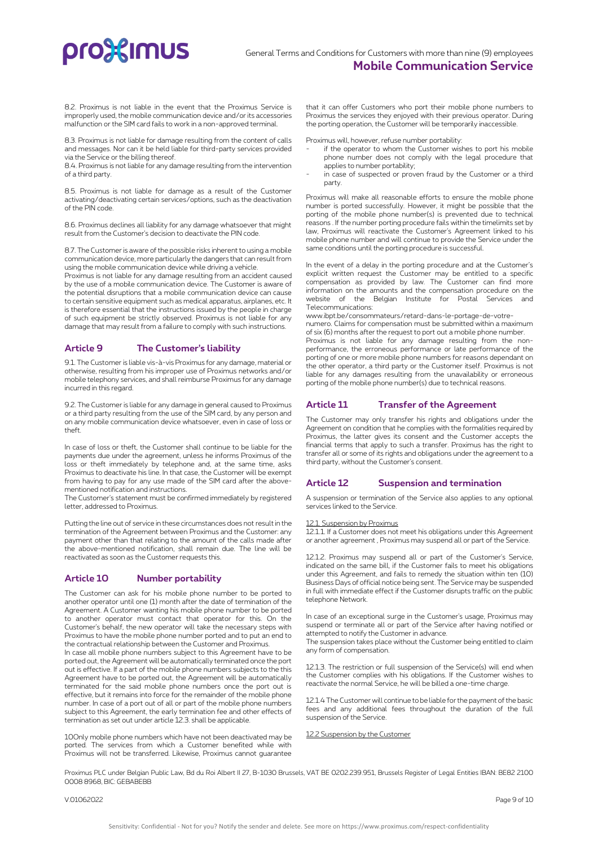8.2. Proximus is not liable in the event that the Proximus Service is improperly used, the mobile communication device and/or its accessories malfunction or the SIM card fails to work in a non-approved terminal.

8.3. Proximus is not liable for damage resulting from the content of calls and messages. Nor can it be held liable for third-party services provided via the Service or the billing thereof.

8.4. Proximus is not liable for any damage resulting from the intervention of a third party.

8.5. Proximus is not liable for damage as a result of the Customer activating/deactivating certain services/options, such as the deactivation of the PIN code.

8.6. Proximus declines all liability for any damage whatsoever that might result from the Customer's decision to deactivate the PIN code.

8.7. The Customer is aware of the possible risks inherent to using a mobile communication device, more particularly the dangers that can result from using the mobile communication device while driving a vehicle.

Proximus is not liable for any damage resulting from an accident caused by the use of a mobile communication device. The Customer is aware of the potential disruptions that a mobile communication device can cause to certain sensitive equipment such as medical apparatus, airplanes, etc. It is therefore essential that the instructions issued by the people in charge of such equipment be strictly observed. Proximus is not liable for any damage that may result from a failure to comply with such instructions.

# **Article 9 The Customer's liability**

9.1. The Customer is liable vis-à-vis Proximus for any damage, material or otherwise, resulting from his improper use of Proximus networks and/or mobile telephony services, and shall reimburse Proximus for any damage incurred in this regard.

9.2. The Customer is liable for any damage in general caused to Proximus or a third party resulting from the use of the SIM card, by any person and on any mobile communication device whatsoever, even in case of loss or theft.

In case of loss or theft, the Customer shall continue to be liable for the payments due under the agreement, unless he informs Proximus of the loss or theft immediately by telephone and, at the same time, asks Proximus to deactivate his line. In that case, the Customer will be exempt from having to pay for any use made of the SIM card after the abovementioned notification and instructions.

The Customer's statement must be confirmed immediately by registered letter, addressed to Proximus.

Putting the line out of service in these circumstances does not result in the termination of the Agreement between Proximus and the Customer: any payment other than that relating to the amount of the calls made after the above-mentioned notification, shall remain due. The line will be reactivated as soon as the Customer requests this.

# **Article 10 Number portability**

The Customer can ask for his mobile phone number to be ported to another operator until one (1) month after the date of termination of the Agreement. A Customer wanting his mobile phone number to be ported to another operator must contact that operator for this. On the Customer's behalf, the new operator will take the necessary steps with Proximus to have the mobile phone number ported and to put an end to the contractual relationship between the Customer and Proximus.

In case all mobile phone numbers subject to this Agreement have to be ported out, the Agreement will be automatically terminated once the port out is effective. If a part of the mobile phone numbers subjects to the this Agreement have to be ported out, the Agreement will be automatically terminated for the said mobile phone numbers once the port out is effective, but it remains into force for the remainder of the mobile phone number. In case of a port out of all or part of the mobile phone numbers subject to this Agreement, the early termination fee and other effects of termination as set out under article 12.3. shall be applicable.

10Only mobile phone numbers which have not been deactivated may be ported. The services from which a Customer benefited while with Proximus will not be transferred. Likewise, Proximus cannot guarantee

that it can offer Customers who port their mobile phone numbers to Proximus the services they enjoyed with their previous operator. During the porting operation, the Customer will be temporarily inaccessible.

Proximus will, however, refuse number portability:

- if the operator to whom the Customer wishes to port his mobile phone number does not comply with the legal procedure that applies to number portability;
- in case of suspected or proven fraud by the Customer or a third party.

Proximus will make all reasonable efforts to ensure the mobile phone number is ported successfully. However, it might be possible that the porting of the mobile phone number(s) is prevented due to technical reasons . If the number porting procedure fails within the timelimits set by law, Proximus will reactivate the Customer's Agreement linked to his mobile phone number and will continue to provide the Service under the same conditions until the porting procedure is successful.

In the event of a delay in the porting procedure and at the Customer's explicit written request the Customer may be entitled to a specific compensation as provided by law. The Customer can find more information on the amounts and the compensation procedure on the website of the Belgian Institute for Postal Services Telecommunications:

www.ibpt.be/consommateurs/retard-dans-le-portage-de-votrenumero. Claims for compensation must be submitted within a maximum

of six (6) months after the request to port out a mobile phone number. Proximus is not liable for any damage resulting from the nonperformance, the erroneous performance or late performance of the porting of one or more mobile phone numbers for reasons dependant on the other operator, a third party or the Customer itself. Proximus is not liable for any damages resulting from the unavailability or erroneous porting of the mobile phone number(s) due to technical reasons.

# **Article 11 Transfer of the Agreement**

The Customer may only transfer his rights and obligations under the Agreement on condition that he complies with the formalities required by Proximus, the latter gives its consent and the Customer accepts the financial terms that apply to such a transfer. Proximus has the right to transfer all or some of its rights and obligations under the agreement to a third party, without the Customer's consent.

# **Article 12 Suspension and termination**

A suspension or termination of the Service also applies to any optional services linked to the Service.

## 12.1. Suspension by Proximus

12.1.1. If a Customer does not meet his obligations under this Agreement or another agreement , Proximus may suspend all or part of the Service.

12.1.2. Proximus may suspend all or part of the Customer's Service, indicated on the same bill, if the Customer fails to meet his obligations under this Agreement, and fails to remedy the situation within ten (10) Business Days of official notice being sent. The Service may be suspended in full with immediate effect if the Customer disrupts traffic on the public telephone Network.

In case of an exceptional surge in the Customer's usage, Proximus may suspend or terminate all or part of the Service after having notified or attempted to notify the Customer in advance. The suspension takes place without the Customer being entitled to claim any form of compensation.

12.1.3. The restriction or full suspension of the Service(s) will end when the Customer complies with his obligations. If the Customer wishes to reactivate the normal Service, he will be billed a one-time charge.

12.1.4 The Customer will continue to be liable for the payment of the basic fees and any additional fees throughout the duration of the full suspension of the Service.

12.2 Suspension by the Customer